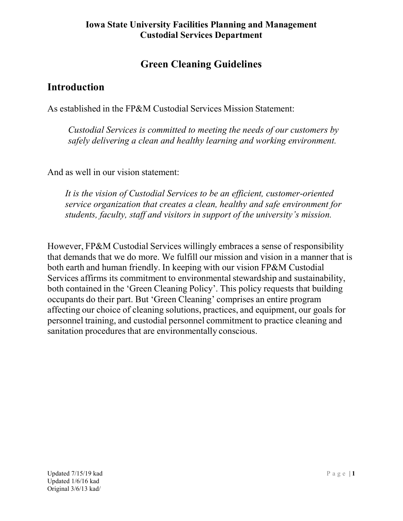# Green Cleaning Guidelines

# Introduction

As established in the FP&M Custodial Services Mission Statement:

 Custodial Services is committed to meeting the needs of our customers by safely delivering a clean and healthy learning and working environment.

And as well in our vision statement:

It is the vision of Custodial Services to be an efficient, customer-oriented service organization that creates a clean, healthy and safe environment for students, faculty, staff and visitors in support of the university's mission.

However, FP&M Custodial Services willingly embraces a sense of responsibility that demands that we do more. We fulfill our mission and vision in a manner that is both earth and human friendly. In keeping with our vision FP&M Custodial Services affirms its commitment to environmental stewardship and sustainability, both contained in the 'Green Cleaning Policy'. This policy requests that building occupants do their part. But 'Green Cleaning' comprises an entire program affecting our choice of cleaning solutions, practices, and equipment, our goals for personnel training, and custodial personnel commitment to practice cleaning and sanitation procedures that are environmentally conscious.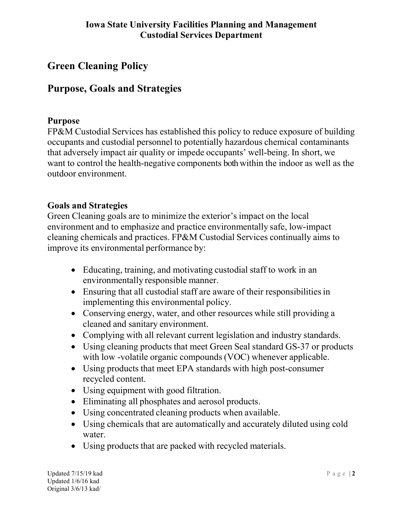# Green Cleaning Policy

# Purpose, Goals and Strategies

#### Purpose

FP&M Custodial Services has established this policy to reduce exposure of building occupants and custodial personnel to potentially hazardous chemical contaminants that adversely impact air quality or impede occupants' well-being. In short, we want to control the health-negative components both within the indoor as well as the outdoor environment.

#### Goals and Strategies

Green Cleaning goals are to minimize the exterior's impact on the local environment and to emphasize and practice environmentally safe, low-impact cleaning chemicals and practices. FP&M Custodial Services continually aims to improve its environmental performance by:

- Educating, training, and motivating custodial staff to work in an environmentally responsible manner.
- Ensuring that all custodial staff are aware of their responsibilities in implementing this environmental policy.
- Conserving energy, water, and other resources while still providing a cleaned and sanitary environment.
- Complying with all relevant current legislation and industry standards.
- Using cleaning products that meet Green Seal standard GS-37 or products with low -volatile organic compounds (VOC) whenever applicable.
- Using products that meet EPA standards with high post-consumer recycled content.
- Using equipment with good filtration.
- Eliminating all phosphates and aerosol products.
- Using concentrated cleaning products when available.
- Using chemicals that are automatically and accurately diluted using cold water.
- Using products that are packed with recycled materials.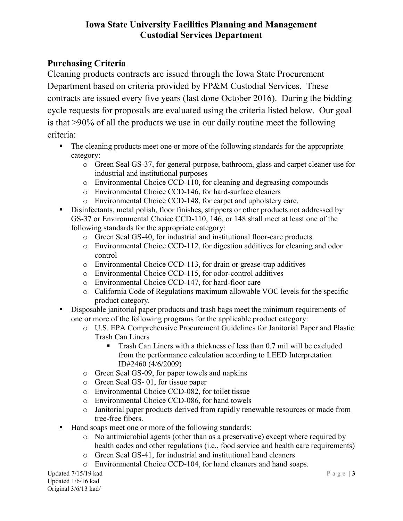## Purchasing Criteria

Cleaning products contracts are issued through the Iowa State Procurement Department based on criteria provided by FP&M Custodial Services. These contracts are issued every five years (last done October 2016). During the bidding cycle requests for proposals are evaluated using the criteria listed below. Our goal is that >90% of all the products we use in our daily routine meet the following criteria:

- The cleaning products meet one or more of the following standards for the appropriate category:
	- o Green Seal GS-37, for general-purpose, bathroom, glass and carpet cleaner use for industrial and institutional purposes
	- o Environmental Choice CCD-110, for cleaning and degreasing compounds
	- o Environmental Choice CCD-146, for hard-surface cleaners
	- o Environmental Choice CCD-148, for carpet and upholstery care.
- Disinfectants, metal polish, floor finishes, strippers or other products not addressed by GS-37 or Environmental Choice CCD-110, 146, or 148 shall meet at least one of the following standards for the appropriate category:
	- o Green Seal GS-40, for industrial and institutional floor-care products
	- o Environmental Choice CCD-112, for digestion additives for cleaning and odor control
	- o Environmental Choice CCD-113, for drain or grease-trap additives
	- o Environmental Choice CCD-115, for odor-control additives
	- o Environmental Choice CCD-147, for hard-floor care
	- o California Code of Regulations maximum allowable VOC levels for the specific product category.
- Disposable janitorial paper products and trash bags meet the minimum requirements of one or more of the following programs for the applicable product category:
	- o U.S. EPA Comprehensive Procurement Guidelines for Janitorial Paper and Plastic Trash Can Liners
		- **Trash Can Liners with a thickness of less than 0.7 mil will be excluded** from the performance calculation according to LEED Interpretation ID#2460 (4/6/2009)
	- o Green Seal GS-09, for paper towels and napkins
	- o Green Seal GS- 01, for tissue paper
	- o Environmental Choice CCD-082, for toilet tissue
	- o Environmental Choice CCD-086, for hand towels
	- o Janitorial paper products derived from rapidly renewable resources or made from tree-free fibers.
- Hand soaps meet one or more of the following standards:
	- o No antimicrobial agents (other than as a preservative) except where required by health codes and other regulations (i.e., food service and health care requirements)
	- o Green Seal GS-41, for industrial and institutional hand cleaners
	- o Environmental Choice CCD-104, for hand cleaners and hand soaps.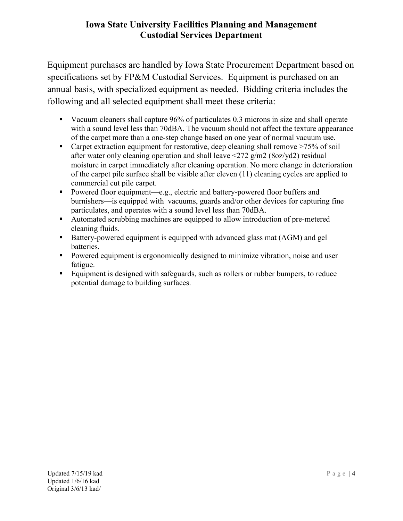Equipment purchases are handled by Iowa State Procurement Department based on specifications set by FP&M Custodial Services. Equipment is purchased on an annual basis, with specialized equipment as needed. Bidding criteria includes the following and all selected equipment shall meet these criteria:

- Vacuum cleaners shall capture 96% of particulates 0.3 microns in size and shall operate with a sound level less than 70dBA. The vacuum should not affect the texture appearance of the carpet more than a one-step change based on one year of normal vacuum use.
- Carpet extraction equipment for restorative, deep cleaning shall remove >75% of soil after water only cleaning operation and shall leave <272 g/m2 (8oz/yd2) residual moisture in carpet immediately after cleaning operation. No more change in deterioration of the carpet pile surface shall be visible after eleven (11) cleaning cycles are applied to commercial cut pile carpet.
- Powered floor equipment—e.g., electric and battery-powered floor buffers and burnishers—is equipped with vacuums, guards and/or other devices for capturing fine particulates, and operates with a sound level less than 70dBA.
- Automated scrubbing machines are equipped to allow introduction of pre-metered cleaning fluids.
- Battery-powered equipment is equipped with advanced glass mat (AGM) and gel batteries.
- **Powered equipment is ergonomically designed to minimize vibration, noise and user** fatigue.
- Equipment is designed with safeguards, such as rollers or rubber bumpers, to reduce potential damage to building surfaces.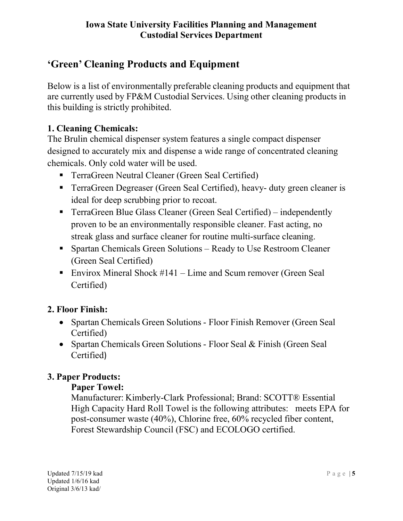# 'Green' Cleaning Products and Equipment

Below is a list of environmentally preferable cleaning products and equipment that are currently used by FP&M Custodial Services. Using other cleaning products in this building is strictly prohibited.

# 1. Cleaning Chemicals:

The Brulin chemical dispenser system features a single compact dispenser designed to accurately mix and dispense a wide range of concentrated cleaning chemicals. Only cold water will be used.

- **TerraGreen Neutral Cleaner (Green Seal Certified)**
- TerraGreen Degreaser (Green Seal Certified), heavy- duty green cleaner is ideal for deep scrubbing prior to recoat.
- TerraGreen Blue Glass Cleaner (Green Seal Certified) independently proven to be an environmentally responsible cleaner. Fast acting, no streak glass and surface cleaner for routine multi-surface cleaning.
- Spartan Chemicals Green Solutions Ready to Use Restroom Cleaner (Green Seal Certified)
- Envirox Mineral Shock  $#141 -$ Lime and Scum remover (Green Seal Certified)

#### 2. Floor Finish:

- Spartan Chemicals Green Solutions Floor Finish Remover (Green Seal) Certified)
- Spartan Chemicals Green Solutions Floor Seal & Finish (Green Seal Certified)

# 3. Paper Products:

#### Paper Towel:

Manufacturer: Kimberly-Clark Professional; Brand: SCOTT® Essential High Capacity Hard Roll Towel is the following attributes: meets EPA for post-consumer waste (40%), Chlorine free, 60% recycled fiber content, Forest Stewardship Council (FSC) and ECOLOGO certified.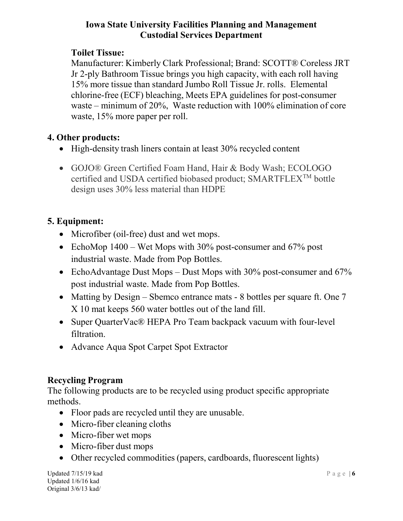# Toilet Tissue:

Manufacturer: Kimberly Clark Professional; Brand: SCOTT® Coreless JRT Jr 2-ply Bathroom Tissue brings you high capacity, with each roll having 15% more tissue than standard Jumbo Roll Tissue Jr. rolls. Elemental chlorine-free (ECF) bleaching, Meets EPA guidelines for post-consumer waste – minimum of 20%, Waste reduction with 100% elimination of core waste, 15% more paper per roll.

# 4. Other products:

- High-density trash liners contain at least 30% recycled content
- GOJO® Green Certified Foam Hand, Hair & Body Wash; ECOLOGO certified and USDA certified biobased product; SMARTFLEXTM bottle design uses 30% less material than HDPE

# 5. Equipment:

- Microfiber (oil-free) dust and wet mops.
- EchoMop  $1400 -$  Wet Mops with  $30\%$  post-consumer and  $67\%$  post industrial waste. Made from Pop Bottles.
- EchoAdvantage Dust Mops Dust Mops with  $30\%$  post-consumer and  $67\%$ post industrial waste. Made from Pop Bottles.
- Matting by Design Sbemco entrance mats 8 bottles per square ft. One 7 X 10 mat keeps 560 water bottles out of the land fill.
- Super QuarterVac<sup>®</sup> HEPA Pro Team backpack vacuum with four-level filtration.
- Advance Aqua Spot Carpet Spot Extractor

# Recycling Program

The following products are to be recycled using product specific appropriate methods.

- Floor pads are recycled until they are unusable.
- Micro-fiber cleaning cloths
- Micro-fiber wet mops
- Micro-fiber dust mops
- Other recycled commodities (papers, cardboards, fluorescent lights)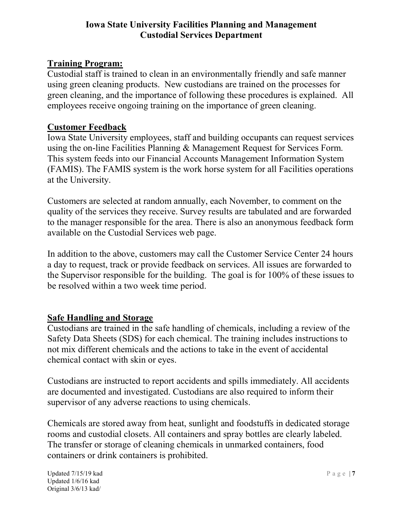## Training Program:

Custodial staff is trained to clean in an environmentally friendly and safe manner using green cleaning products. New custodians are trained on the processes for green cleaning, and the importance of following these procedures is explained. All employees receive ongoing training on the importance of green cleaning.

#### Customer Feedback

Iowa State University employees, staff and building occupants can request services using the on-line Facilities Planning & Management Request for Services Form. This system feeds into our Financial Accounts Management Information System (FAMIS). The FAMIS system is the work horse system for all Facilities operations at the University.

Customers are selected at random annually, each November, to comment on the quality of the services they receive. Survey results are tabulated and are forwarded to the manager responsible for the area. There is also an anonymous feedback form available on the Custodial Services web page.

In addition to the above, customers may call the Customer Service Center 24 hours a day to request, track or provide feedback on services. All issues are forwarded to the Supervisor responsible for the building. The goal is for 100% of these issues to be resolved within a two week time period.

# Safe Handling and Storage

Custodians are trained in the safe handling of chemicals, including a review of the Safety Data Sheets (SDS) for each chemical. The training includes instructions to not mix different chemicals and the actions to take in the event of accidental chemical contact with skin or eyes.

Custodians are instructed to report accidents and spills immediately. All accidents are documented and investigated. Custodians are also required to inform their supervisor of any adverse reactions to using chemicals.

Chemicals are stored away from heat, sunlight and foodstuffs in dedicated storage rooms and custodial closets. All containers and spray bottles are clearly labeled. The transfer or storage of cleaning chemicals in unmarked containers, food containers or drink containers is prohibited.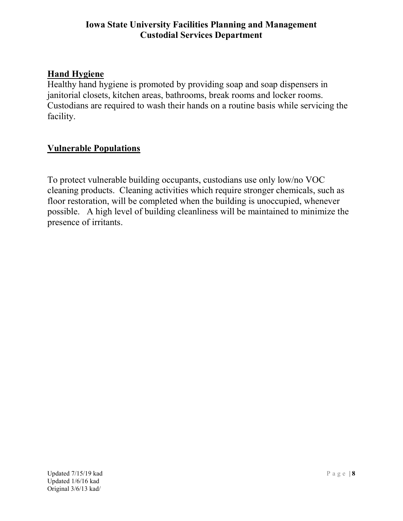### Hand Hygiene

Healthy hand hygiene is promoted by providing soap and soap dispensers in janitorial closets, kitchen areas, bathrooms, break rooms and locker rooms. Custodians are required to wash their hands on a routine basis while servicing the facility.

### Vulnerable Populations

To protect vulnerable building occupants, custodians use only low/no VOC cleaning products. Cleaning activities which require stronger chemicals, such as floor restoration, will be completed when the building is unoccupied, whenever possible. A high level of building cleanliness will be maintained to minimize the presence of irritants.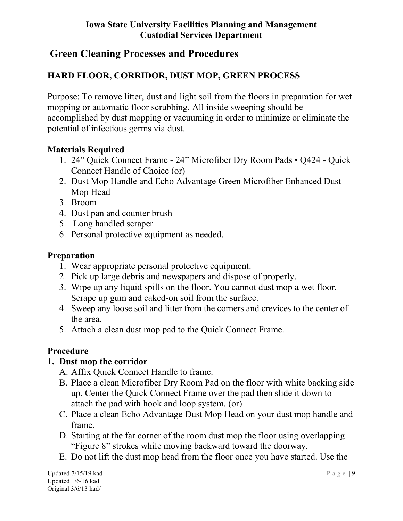# Green Cleaning Processes and Procedures

# HARD FLOOR, CORRIDOR, DUST MOP, GREEN PROCESS

Purpose: To remove litter, dust and light soil from the floors in preparation for wet mopping or automatic floor scrubbing. All inside sweeping should be accomplished by dust mopping or vacuuming in order to minimize or eliminate the potential of infectious germs via dust.

### Materials Required

- 1. 24" Quick Connect Frame 24" Microfiber Dry Room Pads Q424 Quick Connect Handle of Choice (or)
- 2. Dust Mop Handle and Echo Advantage Green Microfiber Enhanced Dust Mop Head
- 3. Broom
- 4. Dust pan and counter brush
- 5. Long handled scraper
- 6. Personal protective equipment as needed.

#### Preparation

- 1. Wear appropriate personal protective equipment.
- 2. Pick up large debris and newspapers and dispose of properly.
- 3. Wipe up any liquid spills on the floor. You cannot dust mop a wet floor. Scrape up gum and caked-on soil from the surface.
- 4. Sweep any loose soil and litter from the corners and crevices to the center of the area.
- 5. Attach a clean dust mop pad to the Quick Connect Frame.

#### Procedure

#### 1. Dust mop the corridor

- A. Affix Quick Connect Handle to frame.
- B. Place a clean Microfiber Dry Room Pad on the floor with white backing side up. Center the Quick Connect Frame over the pad then slide it down to attach the pad with hook and loop system. (or)
- C. Place a clean Echo Advantage Dust Mop Head on your dust mop handle and frame.
- D. Starting at the far corner of the room dust mop the floor using overlapping "Figure 8" strokes while moving backward toward the doorway.
- E. Do not lift the dust mop head from the floor once you have started. Use the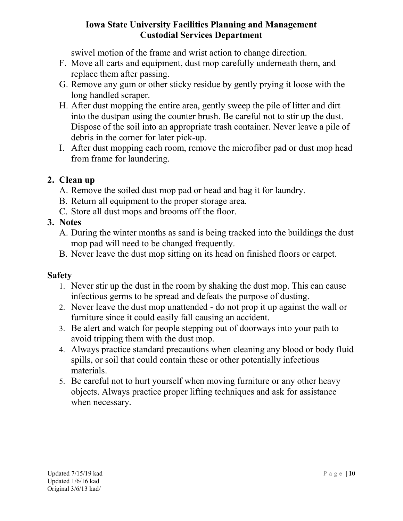swivel motion of the frame and wrist action to change direction.

- F. Move all carts and equipment, dust mop carefully underneath them, and replace them after passing.
- G. Remove any gum or other sticky residue by gently prying it loose with the long handled scraper.
- H. After dust mopping the entire area, gently sweep the pile of litter and dirt into the dustpan using the counter brush. Be careful not to stir up the dust. Dispose of the soil into an appropriate trash container. Never leave a pile of debris in the corner for later pick-up.
- I. After dust mopping each room, remove the microfiber pad or dust mop head from frame for laundering.

# 2. Clean up

- A. Remove the soiled dust mop pad or head and bag it for laundry.
- B. Return all equipment to the proper storage area.
- C. Store all dust mops and brooms off the floor.

#### 3. Notes

- A. During the winter months as sand is being tracked into the buildings the dust mop pad will need to be changed frequently.
- B. Never leave the dust mop sitting on its head on finished floors or carpet.

- 1. Never stir up the dust in the room by shaking the dust mop. This can cause infectious germs to be spread and defeats the purpose of dusting.
- 2. Never leave the dust mop unattended do not prop it up against the wall or furniture since it could easily fall causing an accident.
- 3. Be alert and watch for people stepping out of doorways into your path to avoid tripping them with the dust mop.
- 4. Always practice standard precautions when cleaning any blood or body fluid spills, or soil that could contain these or other potentially infectious materials.
- 5. Be careful not to hurt yourself when moving furniture or any other heavy objects. Always practice proper lifting techniques and ask for assistance when necessary.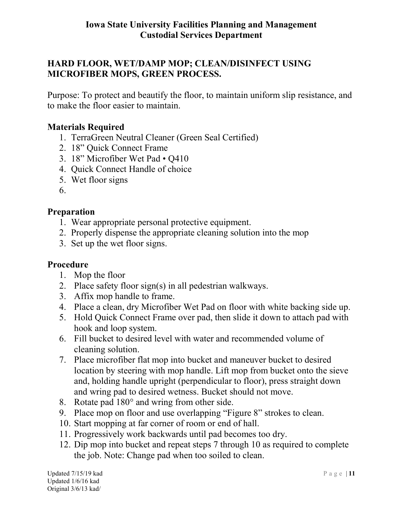# HARD FLOOR, WET/DAMP MOP; CLEAN/DISINFECT USING MICROFIBER MOPS, GREEN PROCESS.

Purpose: To protect and beautify the floor, to maintain uniform slip resistance, and to make the floor easier to maintain.

#### Materials Required

- 1. TerraGreen Neutral Cleaner (Green Seal Certified)
- 2. 18" Quick Connect Frame
- 3. 18" Microfiber Wet Pad Q410
- 4. Quick Connect Handle of choice
- 5. Wet floor signs
- 6.

### Preparation

- 1. Wear appropriate personal protective equipment.
- 2. Properly dispense the appropriate cleaning solution into the mop
- 3. Set up the wet floor signs.

#### Procedure

- 1. Mop the floor
- 2. Place safety floor sign(s) in all pedestrian walkways.
- 3. Affix mop handle to frame.
- 4. Place a clean, dry Microfiber Wet Pad on floor with white backing side up.
- 5. Hold Quick Connect Frame over pad, then slide it down to attach pad with hook and loop system.
- 6. Fill bucket to desired level with water and recommended volume of cleaning solution.
- 7. Place microfiber flat mop into bucket and maneuver bucket to desired location by steering with mop handle. Lift mop from bucket onto the sieve and, holding handle upright (perpendicular to floor), press straight down and wring pad to desired wetness. Bucket should not move.
- 8. Rotate pad 180° and wring from other side.
- 9. Place mop on floor and use overlapping "Figure 8" strokes to clean.
- 10. Start mopping at far corner of room or end of hall.
- 11. Progressively work backwards until pad becomes too dry.
- 12. Dip mop into bucket and repeat steps 7 through 10 as required to complete the job. Note: Change pad when too soiled to clean.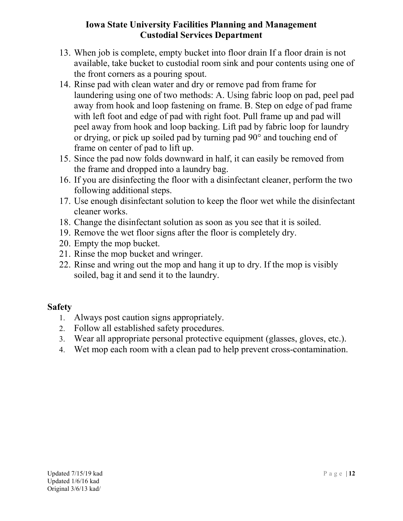- 13. When job is complete, empty bucket into floor drain If a floor drain is not available, take bucket to custodial room sink and pour contents using one of the front corners as a pouring spout.
- 14. Rinse pad with clean water and dry or remove pad from frame for laundering using one of two methods: A. Using fabric loop on pad, peel pad away from hook and loop fastening on frame. B. Step on edge of pad frame with left foot and edge of pad with right foot. Pull frame up and pad will peel away from hook and loop backing. Lift pad by fabric loop for laundry or drying, or pick up soiled pad by turning pad 90° and touching end of frame on center of pad to lift up.
- 15. Since the pad now folds downward in half, it can easily be removed from the frame and dropped into a laundry bag.
- 16. If you are disinfecting the floor with a disinfectant cleaner, perform the two following additional steps.
- 17. Use enough disinfectant solution to keep the floor wet while the disinfectant cleaner works.
- 18. Change the disinfectant solution as soon as you see that it is soiled.
- 19. Remove the wet floor signs after the floor is completely dry.
- 20. Empty the mop bucket.
- 21. Rinse the mop bucket and wringer.
- 22. Rinse and wring out the mop and hang it up to dry. If the mop is visibly soiled, bag it and send it to the laundry.

- 1. Always post caution signs appropriately.
- 2. Follow all established safety procedures.
- 3. Wear all appropriate personal protective equipment (glasses, gloves, etc.).
- 4. Wet mop each room with a clean pad to help prevent cross-contamination.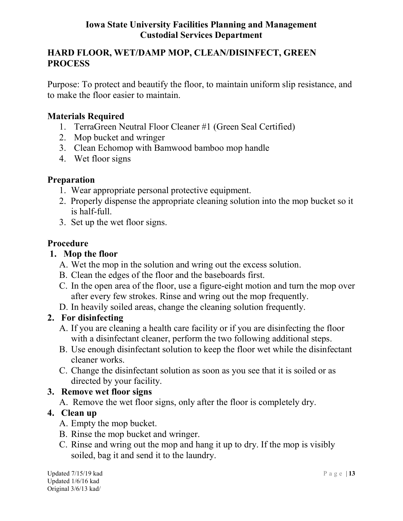## HARD FLOOR, WET/DAMP MOP, CLEAN/DISINFECT, GREEN PROCESS

Purpose: To protect and beautify the floor, to maintain uniform slip resistance, and to make the floor easier to maintain.

### Materials Required

- 1. TerraGreen Neutral Floor Cleaner #1 (Green Seal Certified)
- 2. Mop bucket and wringer
- 3. Clean Echomop with Bamwood bamboo mop handle
- 4. Wet floor signs

#### Preparation

- 1. Wear appropriate personal protective equipment.
- 2. Properly dispense the appropriate cleaning solution into the mop bucket so it is half-full.
- 3. Set up the wet floor signs.

### Procedure

#### 1. Mop the floor

- A. Wet the mop in the solution and wring out the excess solution.
- B. Clean the edges of the floor and the baseboards first.
- C. In the open area of the floor, use a figure-eight motion and turn the mop over after every few strokes. Rinse and wring out the mop frequently.
- D. In heavily soiled areas, change the cleaning solution frequently.

#### 2. For disinfecting

- A. If you are cleaning a health care facility or if you are disinfecting the floor with a disinfectant cleaner, perform the two following additional steps.
- B. Use enough disinfectant solution to keep the floor wet while the disinfectant cleaner works.
- C. Change the disinfectant solution as soon as you see that it is soiled or as directed by your facility.

#### 3. Remove wet floor signs

A. Remove the wet floor signs, only after the floor is completely dry.

#### 4. Clean up

- A. Empty the mop bucket.
- B. Rinse the mop bucket and wringer.
- C. Rinse and wring out the mop and hang it up to dry. If the mop is visibly soiled, bag it and send it to the laundry.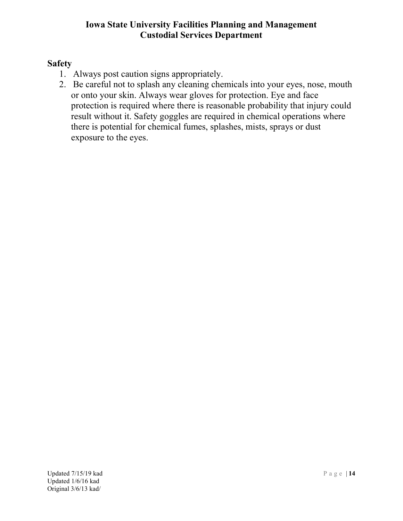- 1. Always post caution signs appropriately.
- 2. Be careful not to splash any cleaning chemicals into your eyes, nose, mouth or onto your skin. Always wear gloves for protection. Eye and face protection is required where there is reasonable probability that injury could result without it. Safety goggles are required in chemical operations where there is potential for chemical fumes, splashes, mists, sprays or dust exposure to the eyes.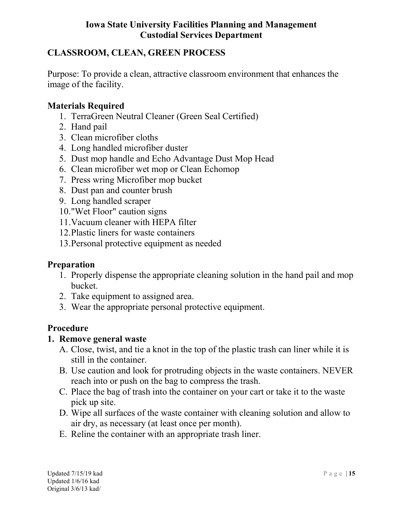# CLASSROOM, CLEAN, GREEN PROCESS

Purpose: To provide a clean, attractive classroom environment that enhances the image of the facility.

#### Materials Required

- 1. TerraGreen Neutral Cleaner (Green Seal Certified)
- 2. Hand pail
- 3. Clean microfiber cloths
- 4. Long handled microfiber duster
- 5. Dust mop handle and Echo Advantage Dust Mop Head
- 6. Clean microfiber wet mop or Clean Echomop
- 7. Press wring Microfiber mop bucket
- 8. Dust pan and counter brush
- 9. Long handled scraper
- 10."Wet Floor" caution signs
- 11.Vacuum cleaner with HEPA filter
- 12.Plastic liners for waste containers
- 13.Personal protective equipment as needed

#### Preparation

- 1. Properly dispense the appropriate cleaning solution in the hand pail and mop bucket.
- 2. Take equipment to assigned area.
- 3. Wear the appropriate personal protective equipment.

#### Procedure

#### 1. Remove general waste

- A. Close, twist, and tie a knot in the top of the plastic trash can liner while it is still in the container.
- B. Use caution and look for protruding objects in the waste containers. NEVER reach into or push on the bag to compress the trash.
- C. Place the bag of trash into the container on your cart or take it to the waste pick up site.
- D. Wipe all surfaces of the waste container with cleaning solution and allow to air dry, as necessary (at least once per month).
- E. Reline the container with an appropriate trash liner.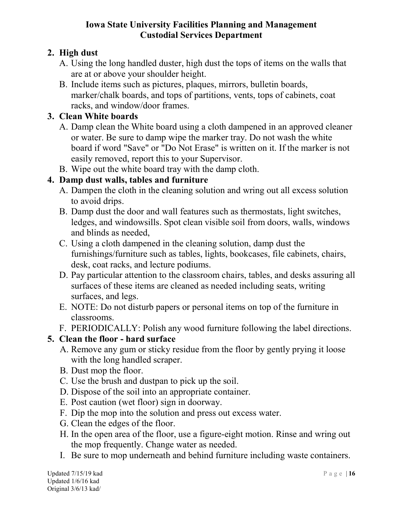# 2. High dust

- A. Using the long handled duster, high dust the tops of items on the walls that are at or above your shoulder height.
- B. Include items such as pictures, plaques, mirrors, bulletin boards, marker/chalk boards, and tops of partitions, vents, tops of cabinets, coat racks, and window/door frames.

## 3. Clean White boards

- A. Damp clean the White board using a cloth dampened in an approved cleaner or water. Be sure to damp wipe the marker tray. Do not wash the white board if word "Save" or "Do Not Erase" is written on it. If the marker is not easily removed, report this to your Supervisor.
- B. Wipe out the white board tray with the damp cloth.

# 4. Damp dust walls, tables and furniture

- A. Dampen the cloth in the cleaning solution and wring out all excess solution to avoid drips.
- B. Damp dust the door and wall features such as thermostats, light switches, ledges, and windowsills. Spot clean visible soil from doors, walls, windows and blinds as needed,
- C. Using a cloth dampened in the cleaning solution, damp dust the furnishings/furniture such as tables, lights, bookcases, file cabinets, chairs, desk, coat racks, and lecture podiums.
- D. Pay particular attention to the classroom chairs, tables, and desks assuring all surfaces of these items are cleaned as needed including seats, writing surfaces, and legs.
- E. NOTE: Do not disturb papers or personal items on top of the furniture in classrooms.
- F. PERIODICALLY: Polish any wood furniture following the label directions.

# 5. Clean the floor - hard surface

- A. Remove any gum or sticky residue from the floor by gently prying it loose with the long handled scraper.
- B. Dust mop the floor.
- C. Use the brush and dustpan to pick up the soil.
- D. Dispose of the soil into an appropriate container.
- E. Post caution (wet floor) sign in doorway.
- F. Dip the mop into the solution and press out excess water.
- G. Clean the edges of the floor.
- H. In the open area of the floor, use a figure-eight motion. Rinse and wring out the mop frequently. Change water as needed.
- I. Be sure to mop underneath and behind furniture including waste containers.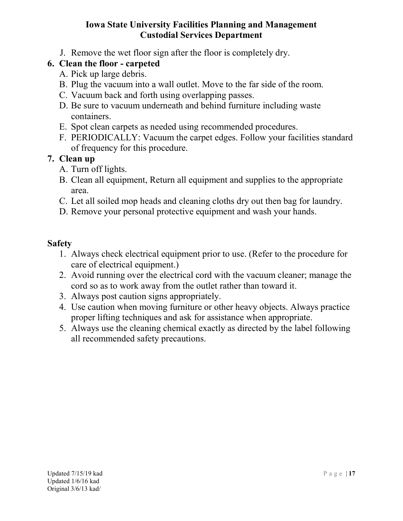J. Remove the wet floor sign after the floor is completely dry.

# 6. Clean the floor - carpeted

- A. Pick up large debris.
- B. Plug the vacuum into a wall outlet. Move to the far side of the room.
- C. Vacuum back and forth using overlapping passes.
- D. Be sure to vacuum underneath and behind furniture including waste containers.
- E. Spot clean carpets as needed using recommended procedures.
- F. PERIODICALLY: Vacuum the carpet edges. Follow your facilities standard of frequency for this procedure.

### 7. Clean up

- A. Turn off lights.
- B. Clean all equipment, Return all equipment and supplies to the appropriate area.
- C. Let all soiled mop heads and cleaning cloths dry out then bag for laundry.
- D. Remove your personal protective equipment and wash your hands.

- 1. Always check electrical equipment prior to use. (Refer to the procedure for care of electrical equipment.)
- 2. Avoid running over the electrical cord with the vacuum cleaner; manage the cord so as to work away from the outlet rather than toward it.
- 3. Always post caution signs appropriately.
- 4. Use caution when moving furniture or other heavy objects. Always practice proper lifting techniques and ask for assistance when appropriate.
- 5. Always use the cleaning chemical exactly as directed by the label following all recommended safety precautions.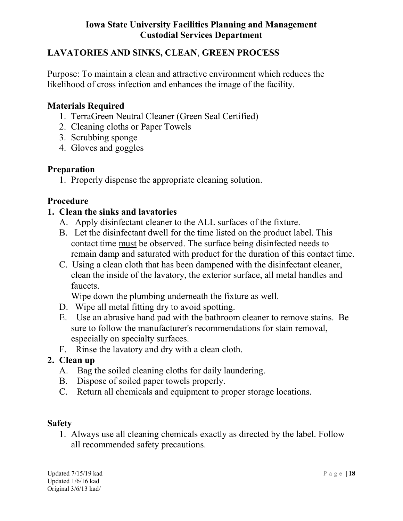# LAVATORIES AND SINKS, CLEAN, GREEN PROCESS

Purpose: To maintain a clean and attractive environment which reduces the likelihood of cross infection and enhances the image of the facility.

### Materials Required

- 1. TerraGreen Neutral Cleaner (Green Seal Certified)
- 2. Cleaning cloths or Paper Towels
- 3. Scrubbing sponge
- 4. Gloves and goggles

#### Preparation

1. Properly dispense the appropriate cleaning solution.

#### Procedure

### 1. Clean the sinks and lavatories

- A. Apply disinfectant cleaner to the ALL surfaces of the fixture.
- B. Let the disinfectant dwell for the time listed on the product label. This contact time must be observed. The surface being disinfected needs to remain damp and saturated with product for the duration of this contact time.
- C. Using a clean cloth that has been dampened with the disinfectant cleaner, clean the inside of the lavatory, the exterior surface, all metal handles and faucets.

Wipe down the plumbing underneath the fixture as well.

- D. Wipe all metal fitting dry to avoid spotting.
- E. Use an abrasive hand pad with the bathroom cleaner to remove stains. Be sure to follow the manufacturer's recommendations for stain removal, especially on specialty surfaces.
- F. Rinse the lavatory and dry with a clean cloth.

#### 2. Clean up

- A. Bag the soiled cleaning cloths for daily laundering.
- B. Dispose of soiled paper towels properly.
- C. Return all chemicals and equipment to proper storage locations.

#### Safety

1. Always use all cleaning chemicals exactly as directed by the label. Follow all recommended safety precautions.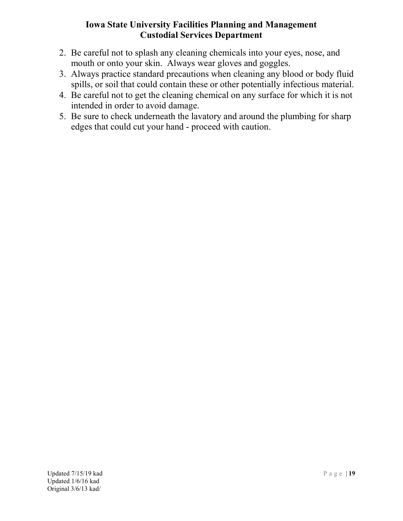- 2. Be careful not to splash any cleaning chemicals into your eyes, nose, and mouth or onto your skin. Always wear gloves and goggles.
- 3. Always practice standard precautions when cleaning any blood or body fluid spills, or soil that could contain these or other potentially infectious material.
- 4. Be careful not to get the cleaning chemical on any surface for which it is not intended in order to avoid damage.
- 5. Be sure to check underneath the lavatory and around the plumbing for sharp edges that could cut your hand - proceed with caution.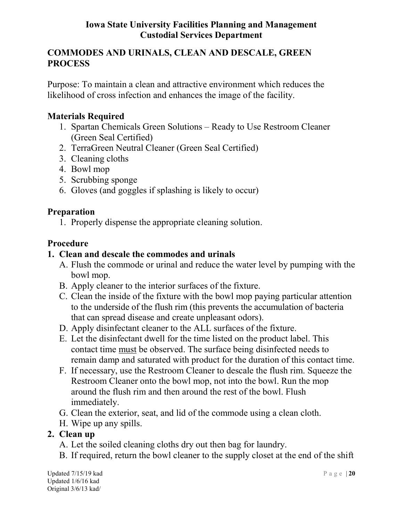# COMMODES AND URINALS, CLEAN AND DESCALE, GREEN PROCESS

Purpose: To maintain a clean and attractive environment which reduces the likelihood of cross infection and enhances the image of the facility.

#### Materials Required

- 1. Spartan Chemicals Green Solutions Ready to Use Restroom Cleaner (Green Seal Certified)
- 2. TerraGreen Neutral Cleaner (Green Seal Certified)
- 3. Cleaning cloths
- 4. Bowl mop
- 5. Scrubbing sponge
- 6. Gloves (and goggles if splashing is likely to occur)

#### Preparation

1. Properly dispense the appropriate cleaning solution.

### Procedure

### 1. Clean and descale the commodes and urinals

- A. Flush the commode or urinal and reduce the water level by pumping with the bowl mop.
- B. Apply cleaner to the interior surfaces of the fixture.
- C. Clean the inside of the fixture with the bowl mop paying particular attention to the underside of the flush rim (this prevents the accumulation of bacteria that can spread disease and create unpleasant odors).
- D. Apply disinfectant cleaner to the ALL surfaces of the fixture.
- E. Let the disinfectant dwell for the time listed on the product label. This contact time must be observed. The surface being disinfected needs to remain damp and saturated with product for the duration of this contact time.
- F. If necessary, use the Restroom Cleaner to descale the flush rim. Squeeze the Restroom Cleaner onto the bowl mop, not into the bowl. Run the mop around the flush rim and then around the rest of the bowl. Flush immediately.
- G. Clean the exterior, seat, and lid of the commode using a clean cloth.
- H. Wipe up any spills.

# 2. Clean up

- A. Let the soiled cleaning cloths dry out then bag for laundry.
- B. If required, return the bowl cleaner to the supply closet at the end of the shift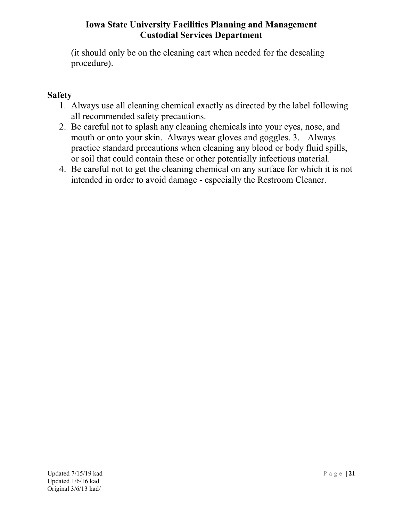(it should only be on the cleaning cart when needed for the descaling procedure).

- 1. Always use all cleaning chemical exactly as directed by the label following all recommended safety precautions.
- 2. Be careful not to splash any cleaning chemicals into your eyes, nose, and mouth or onto your skin. Always wear gloves and goggles. 3. Always practice standard precautions when cleaning any blood or body fluid spills, or soil that could contain these or other potentially infectious material.
- 4. Be careful not to get the cleaning chemical on any surface for which it is not intended in order to avoid damage - especially the Restroom Cleaner.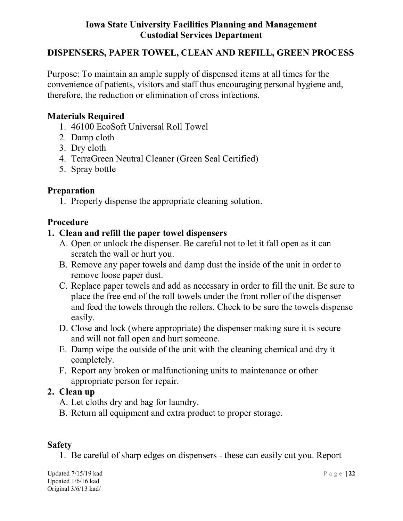#### DISPENSERS, PAPER TOWEL, CLEAN AND REFILL, GREEN PROCESS

Purpose: To maintain an ample supply of dispensed items at all times for the convenience of patients, visitors and staff thus encouraging personal hygiene and, therefore, the reduction or elimination of cross infections.

#### Materials Required

- 1. 46100 EcoSoft Universal Roll Towel
- 2. Damp cloth
- 3. Dry cloth
- 4. TerraGreen Neutral Cleaner (Green Seal Certified)
- 5. Spray bottle

#### Preparation

1. Properly dispense the appropriate cleaning solution.

#### Procedure

#### 1. Clean and refill the paper towel dispensers

- A. Open or unlock the dispenser. Be careful not to let it fall open as it can scratch the wall or hurt you.
- B. Remove any paper towels and damp dust the inside of the unit in order to remove loose paper dust.
- C. Replace paper towels and add as necessary in order to fill the unit. Be sure to place the free end of the roll towels under the front roller of the dispenser and feed the towels through the rollers. Check to be sure the towels dispense easily.
- D. Close and lock (where appropriate) the dispenser making sure it is secure and will not fall open and hurt someone.
- E. Damp wipe the outside of the unit with the cleaning chemical and dry it completely.
- F. Report any broken or malfunctioning units to maintenance or other appropriate person for repair.

#### 2. Clean up

- A. Let cloths dry and bag for laundry.
- B. Return all equipment and extra product to proper storage.

#### Safety

1. Be careful of sharp edges on dispensers - these can easily cut you. Report

Updated 7/15/19 kad  $P$  a g e | 22 Updated 1/6/16 kad Original 3/6/13 kad/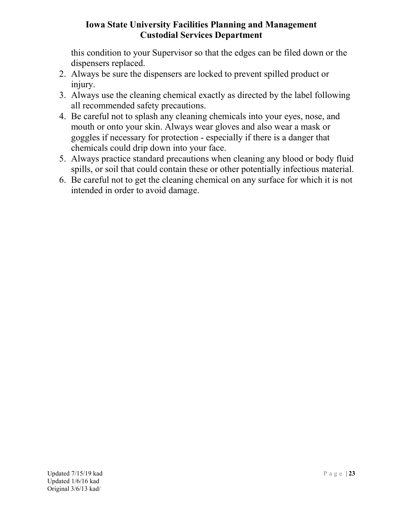this condition to your Supervisor so that the edges can be filed down or the dispensers replaced.

- 2. Always be sure the dispensers are locked to prevent spilled product or injury.
- 3. Always use the cleaning chemical exactly as directed by the label following all recommended safety precautions.
- 4. Be careful not to splash any cleaning chemicals into your eyes, nose, and mouth or onto your skin. Always wear gloves and also wear a mask or goggles if necessary for protection - especially if there is a danger that chemicals could drip down into your face.
- 5. Always practice standard precautions when cleaning any blood or body fluid spills, or soil that could contain these or other potentially infectious material.
- 6. Be careful not to get the cleaning chemical on any surface for which it is not intended in order to avoid damage.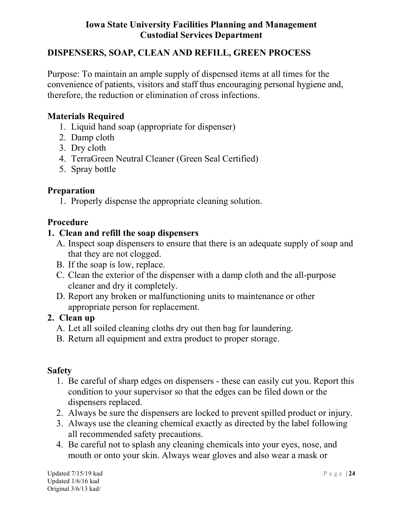## DISPENSERS, SOAP, CLEAN AND REFILL, GREEN PROCESS

Purpose: To maintain an ample supply of dispensed items at all times for the convenience of patients, visitors and staff thus encouraging personal hygiene and, therefore, the reduction or elimination of cross infections.

#### Materials Required

- 1. Liquid hand soap (appropriate for dispenser)
- 2. Damp cloth
- 3. Dry cloth
- 4. TerraGreen Neutral Cleaner (Green Seal Certified)
- 5. Spray bottle

#### Preparation

1. Properly dispense the appropriate cleaning solution.

### Procedure

### 1. Clean and refill the soap dispensers

- A. Inspect soap dispensers to ensure that there is an adequate supply of soap and that they are not clogged.
- B. If the soap is low, replace.
- C. Clean the exterior of the dispenser with a damp cloth and the all-purpose cleaner and dry it completely.
- D. Report any broken or malfunctioning units to maintenance or other appropriate person for replacement.

#### 2. Clean up

- A. Let all soiled cleaning cloths dry out then bag for laundering.
- B. Return all equipment and extra product to proper storage.

- 1. Be careful of sharp edges on dispensers these can easily cut you. Report this condition to your supervisor so that the edges can be filed down or the dispensers replaced.
- 2. Always be sure the dispensers are locked to prevent spilled product or injury.
- 3. Always use the cleaning chemical exactly as directed by the label following all recommended safety precautions.
- 4. Be careful not to splash any cleaning chemicals into your eyes, nose, and mouth or onto your skin. Always wear gloves and also wear a mask or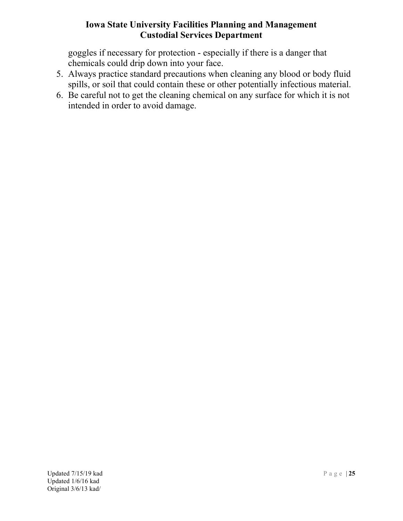goggles if necessary for protection - especially if there is a danger that chemicals could drip down into your face.

- 5. Always practice standard precautions when cleaning any blood or body fluid spills, or soil that could contain these or other potentially infectious material.
- 6. Be careful not to get the cleaning chemical on any surface for which it is not intended in order to avoid damage.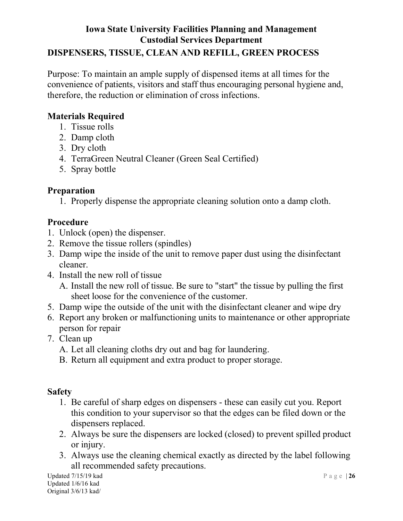# Iowa State University Facilities Planning and Management Custodial Services Department DISPENSERS, TISSUE, CLEAN AND REFILL, GREEN PROCESS

Purpose: To maintain an ample supply of dispensed items at all times for the convenience of patients, visitors and staff thus encouraging personal hygiene and, therefore, the reduction or elimination of cross infections.

# Materials Required

- 1. Tissue rolls
- 2. Damp cloth
- 3. Dry cloth
- 4. TerraGreen Neutral Cleaner (Green Seal Certified)
- 5. Spray bottle

# Preparation

1. Properly dispense the appropriate cleaning solution onto a damp cloth.

# Procedure

- 1. Unlock (open) the dispenser.
- 2. Remove the tissue rollers (spindles)
- 3. Damp wipe the inside of the unit to remove paper dust using the disinfectant cleaner.
- 4. Install the new roll of tissue
	- A. Install the new roll of tissue. Be sure to "start" the tissue by pulling the first sheet loose for the convenience of the customer.
- 5. Damp wipe the outside of the unit with the disinfectant cleaner and wipe dry
- 6. Report any broken or malfunctioning units to maintenance or other appropriate person for repair
- 7. Clean up
	- A. Let all cleaning cloths dry out and bag for laundering.
	- B. Return all equipment and extra product to proper storage.

# Safety

- 1. Be careful of sharp edges on dispensers these can easily cut you. Report this condition to your supervisor so that the edges can be filed down or the dispensers replaced.
- 2. Always be sure the dispensers are locked (closed) to prevent spilled product or injury.
- 3. Always use the cleaning chemical exactly as directed by the label following all recommended safety precautions.

Updated 7/15/19 kad  $P$  a g e | 26 Updated 1/6/16 kad Original 3/6/13 kad/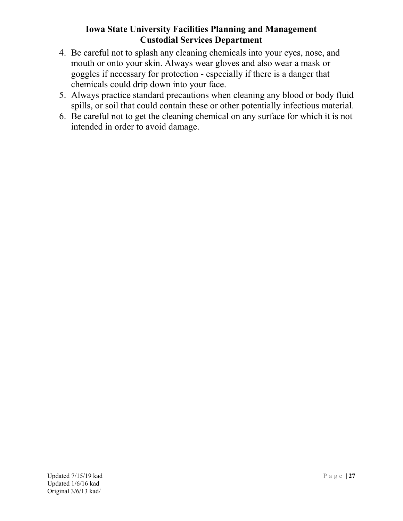- 4. Be careful not to splash any cleaning chemicals into your eyes, nose, and mouth or onto your skin. Always wear gloves and also wear a mask or goggles if necessary for protection - especially if there is a danger that chemicals could drip down into your face.
- 5. Always practice standard precautions when cleaning any blood or body fluid spills, or soil that could contain these or other potentially infectious material.
- 6. Be careful not to get the cleaning chemical on any surface for which it is not intended in order to avoid damage.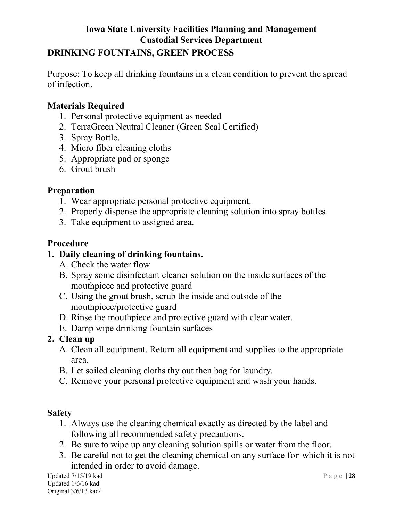### DRINKING FOUNTAINS, GREEN PROCESS

Purpose: To keep all drinking fountains in a clean condition to prevent the spread of infection.

## Materials Required

- 1. Personal protective equipment as needed
- 2. TerraGreen Neutral Cleaner (Green Seal Certified)
- 3. Spray Bottle.
- 4. Micro fiber cleaning cloths
- 5. Appropriate pad or sponge
- 6. Grout brush

#### Preparation

- 1. Wear appropriate personal protective equipment.
- 2. Properly dispense the appropriate cleaning solution into spray bottles.
- 3. Take equipment to assigned area.

# Procedure

# 1. Daily cleaning of drinking fountains.

- A. Check the water flow
- B. Spray some disinfectant cleaner solution on the inside surfaces of the mouthpiece and protective guard
- C. Using the grout brush, scrub the inside and outside of the mouthpiece/protective guard
- D. Rinse the mouthpiece and protective guard with clear water.
- E. Damp wipe drinking fountain surfaces

# 2. Clean up

- A. Clean all equipment. Return all equipment and supplies to the appropriate area.
- B. Let soiled cleaning cloths thy out then bag for laundry.
- C. Remove your personal protective equipment and wash your hands.

#### **Safety**

- 1. Always use the cleaning chemical exactly as directed by the label and following all recommended safety precautions.
- 2. Be sure to wipe up any cleaning solution spills or water from the floor.
- 3. Be careful not to get the cleaning chemical on any surface for which it is not intended in order to avoid damage.

Updated 7/15/19 kad  $P$  a g e | 28 Updated 1/6/16 kad Original 3/6/13 kad/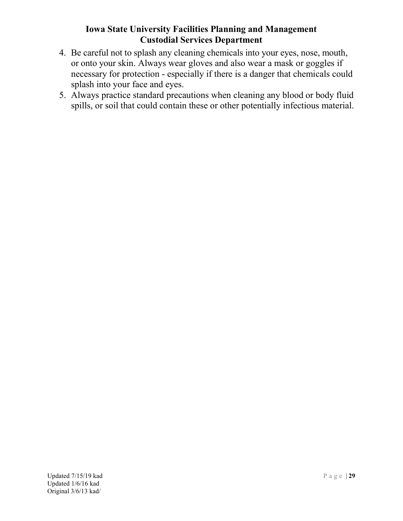- 4. Be careful not to splash any cleaning chemicals into your eyes, nose, mouth, or onto your skin. Always wear gloves and also wear a mask or goggles if necessary for protection - especially if there is a danger that chemicals could splash into your face and eyes.
- 5. Always practice standard precautions when cleaning any blood or body fluid spills, or soil that could contain these or other potentially infectious material.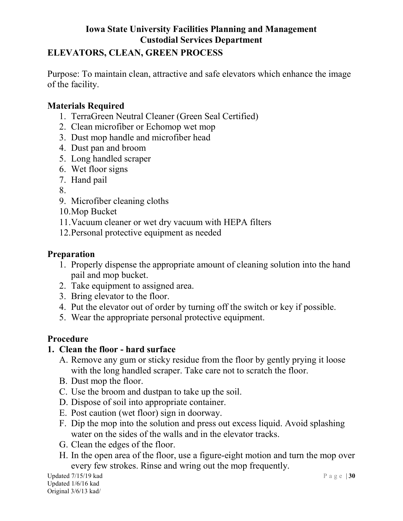# ELEVATORS, CLEAN, GREEN PROCESS

Purpose: To maintain clean, attractive and safe elevators which enhance the image of the facility.

# Materials Required

- 1. TerraGreen Neutral Cleaner (Green Seal Certified)
- 2. Clean microfiber or Echomop wet mop
- 3. Dust mop handle and microfiber head
- 4. Dust pan and broom
- 5. Long handled scraper
- 6. Wet floor signs
- 7. Hand pail
- 8.
- 9. Microfiber cleaning cloths
- 10.Mop Bucket
- 11.Vacuum cleaner or wet dry vacuum with HEPA filters
- 12.Personal protective equipment as needed

#### Preparation

- 1. Properly dispense the appropriate amount of cleaning solution into the hand pail and mop bucket.
- 2. Take equipment to assigned area.
- 3. Bring elevator to the floor.
- 4. Put the elevator out of order by turning off the switch or key if possible.
- 5. Wear the appropriate personal protective equipment.

#### Procedure

#### 1. Clean the floor - hard surface

- A. Remove any gum or sticky residue from the floor by gently prying it loose with the long handled scraper. Take care not to scratch the floor.
- B. Dust mop the floor.
- C. Use the broom and dustpan to take up the soil.
- D. Dispose of soil into appropriate container.
- E. Post caution (wet floor) sign in doorway.
- F. Dip the mop into the solution and press out excess liquid. Avoid splashing water on the sides of the walls and in the elevator tracks.
- G. Clean the edges of the floor.
- H. In the open area of the floor, use a figure-eight motion and turn the mop over every few strokes. Rinse and wring out the mop frequently.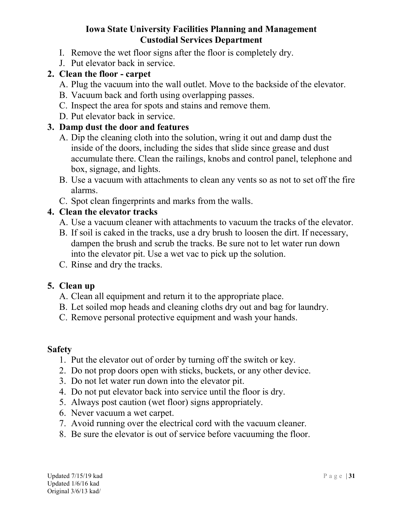- I. Remove the wet floor signs after the floor is completely dry.
- J. Put elevator back in service.

## 2. Clean the floor - carpet

- A. Plug the vacuum into the wall outlet. Move to the backside of the elevator.
- B. Vacuum back and forth using overlapping passes.
- C. Inspect the area for spots and stains and remove them.
- D. Put elevator back in service.

## 3. Damp dust the door and features

- A. Dip the cleaning cloth into the solution, wring it out and damp dust the inside of the doors, including the sides that slide since grease and dust accumulate there. Clean the railings, knobs and control panel, telephone and box, signage, and lights.
- B. Use a vacuum with attachments to clean any vents so as not to set off the fire alarms.
- C. Spot clean fingerprints and marks from the walls.

# 4. Clean the elevator tracks

- A. Use a vacuum cleaner with attachments to vacuum the tracks of the elevator.
- B. If soil is caked in the tracks, use a dry brush to loosen the dirt. If necessary, dampen the brush and scrub the tracks. Be sure not to let water run down into the elevator pit. Use a wet vac to pick up the solution.
- C. Rinse and dry the tracks.

#### 5. Clean up

- A. Clean all equipment and return it to the appropriate place.
- B. Let soiled mop heads and cleaning cloths dry out and bag for laundry.
- C. Remove personal protective equipment and wash your hands.

- 1. Put the elevator out of order by turning off the switch or key.
- 2. Do not prop doors open with sticks, buckets, or any other device.
- 3. Do not let water run down into the elevator pit.
- 4. Do not put elevator back into service until the floor is dry.
- 5. Always post caution (wet floor) signs appropriately.
- 6. Never vacuum a wet carpet.
- 7. Avoid running over the electrical cord with the vacuum cleaner.
- 8. Be sure the elevator is out of service before vacuuming the floor.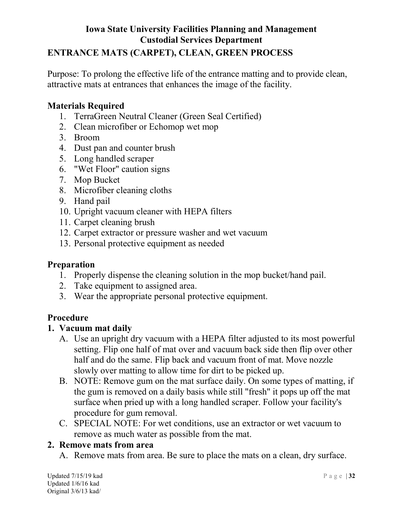# ENTRANCE MATS (CARPET), CLEAN, GREEN PROCESS

Purpose: To prolong the effective life of the entrance matting and to provide clean, attractive mats at entrances that enhances the image of the facility.

### Materials Required

- 1. TerraGreen Neutral Cleaner (Green Seal Certified)
- 2. Clean microfiber or Echomop wet mop
- 3. Broom
- 4. Dust pan and counter brush
- 5. Long handled scraper
- 6. "Wet Floor" caution signs
- 7. Mop Bucket
- 8. Microfiber cleaning cloths
- 9. Hand pail
- 10. Upright vacuum cleaner with HEPA filters
- 11. Carpet cleaning brush
- 12. Carpet extractor or pressure washer and wet vacuum
- 13. Personal protective equipment as needed

#### Preparation

- 1. Properly dispense the cleaning solution in the mop bucket/hand pail.
- 2. Take equipment to assigned area.
- 3. Wear the appropriate personal protective equipment.

#### Procedure

#### 1. Vacuum mat daily

- A. Use an upright dry vacuum with a HEPA filter adjusted to its most powerful setting. Flip one half of mat over and vacuum back side then flip over other half and do the same. Flip back and vacuum front of mat. Move nozzle slowly over matting to allow time for dirt to be picked up.
- B. NOTE: Remove gum on the mat surface daily. On some types of matting, if the gum is removed on a daily basis while still "fresh" it pops up off the mat surface when pried up with a long handled scraper. Follow your facility's procedure for gum removal.
- C. SPECIAL NOTE: For wet conditions, use an extractor or wet vacuum to remove as much water as possible from the mat.

#### 2. Remove mats from area

A. Remove mats from area. Be sure to place the mats on a clean, dry surface.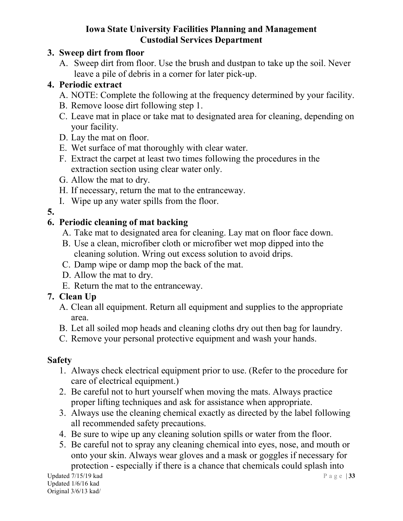# 3. Sweep dirt from floor

A. Sweep dirt from floor. Use the brush and dustpan to take up the soil. Never leave a pile of debris in a corner for later pick-up.

# 4. Periodic extract

- A. NOTE: Complete the following at the frequency determined by your facility.
- B. Remove loose dirt following step 1.
- C. Leave mat in place or take mat to designated area for cleaning, depending on your facility.
- D. Lay the mat on floor.
- E. Wet surface of mat thoroughly with clear water.
- F. Extract the carpet at least two times following the procedures in the extraction section using clear water only.
- G. Allow the mat to dry.
- H. If necessary, return the mat to the entranceway.
- I. Wipe up any water spills from the floor.
- 5.

# 6. Periodic cleaning of mat backing

- A. Take mat to designated area for cleaning. Lay mat on floor face down.
- B. Use a clean, microfiber cloth or microfiber wet mop dipped into the cleaning solution. Wring out excess solution to avoid drips.
- C. Damp wipe or damp mop the back of the mat.
- D. Allow the mat to dry.
- E. Return the mat to the entranceway.

# 7. Clean Up

- A. Clean all equipment. Return all equipment and supplies to the appropriate area.
- B. Let all soiled mop heads and cleaning cloths dry out then bag for laundry.
- C. Remove your personal protective equipment and wash your hands.

- 1. Always check electrical equipment prior to use. (Refer to the procedure for care of electrical equipment.)
- 2. Be careful not to hurt yourself when moving the mats. Always practice proper lifting techniques and ask for assistance when appropriate.
- 3. Always use the cleaning chemical exactly as directed by the label following all recommended safety precautions.
- 4. Be sure to wipe up any cleaning solution spills or water from the floor.
- 5. Be careful not to spray any cleaning chemical into eyes, nose, and mouth or onto your skin. Always wear gloves and a mask or goggles if necessary for protection - especially if there is a chance that chemicals could splash into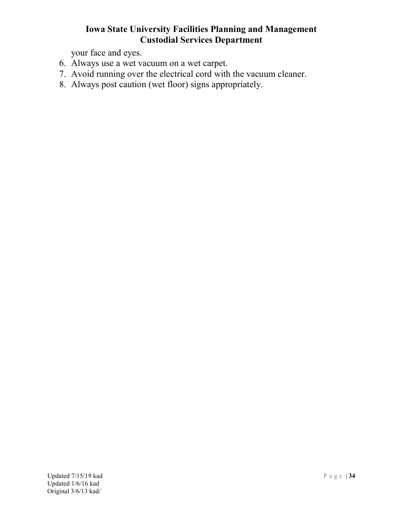your face and eyes.

- 6. Always use a wet vacuum on a wet carpet.
- 7. Avoid running over the electrical cord with the vacuum cleaner.
- 8. Always post caution (wet floor) signs appropriately.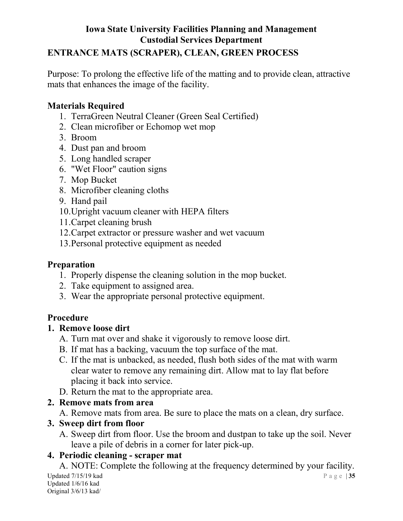# Iowa State University Facilities Planning and Management Custodial Services Department ENTRANCE MATS (SCRAPER), CLEAN, GREEN PROCESS

Purpose: To prolong the effective life of the matting and to provide clean, attractive mats that enhances the image of the facility.

# Materials Required

- 1. TerraGreen Neutral Cleaner (Green Seal Certified)
- 2. Clean microfiber or Echomop wet mop
- 3. Broom
- 4. Dust pan and broom
- 5. Long handled scraper
- 6. "Wet Floor" caution signs
- 7. Mop Bucket
- 8. Microfiber cleaning cloths
- 9. Hand pail
- 10.Upright vacuum cleaner with HEPA filters
- 11.Carpet cleaning brush
- 12.Carpet extractor or pressure washer and wet vacuum
- 13.Personal protective equipment as needed

# Preparation

- 1. Properly dispense the cleaning solution in the mop bucket.
- 2. Take equipment to assigned area.
- 3. Wear the appropriate personal protective equipment.

# Procedure

# 1. Remove loose dirt

- A. Turn mat over and shake it vigorously to remove loose dirt.
- B. If mat has a backing, vacuum the top surface of the mat.
- C. If the mat is unbacked, as needed, flush both sides of the mat with warm clear water to remove any remaining dirt. Allow mat to lay flat before placing it back into service.
- D. Return the mat to the appropriate area.

# 2. Remove mats from area

A. Remove mats from area. Be sure to place the mats on a clean, dry surface.

# 3. Sweep dirt from floor

A. Sweep dirt from floor. Use the broom and dustpan to take up the soil. Never leave a pile of debris in a corner for later pick-up.

# 4. Periodic cleaning - scraper mat

Updated 7/15/19 kad  $P$  a g e | 35 Updated 1/6/16 kad Original 3/6/13 kad/ A. NOTE: Complete the following at the frequency determined by your facility.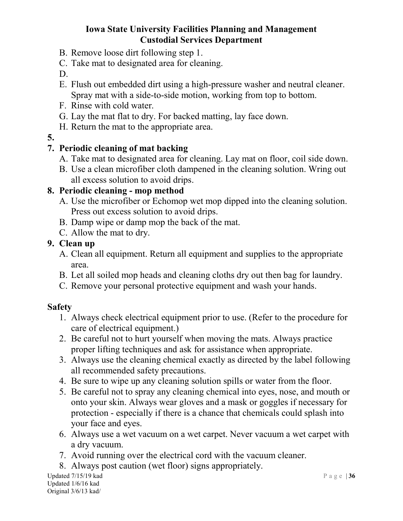- B. Remove loose dirt following step 1.
- C. Take mat to designated area for cleaning.
- D.
- E. Flush out embedded dirt using a high-pressure washer and neutral cleaner. Spray mat with a side-to-side motion, working from top to bottom.
- F. Rinse with cold water.
- G. Lay the mat flat to dry. For backed matting, lay face down.
- H. Return the mat to the appropriate area.
- 5.

# 7. Periodic cleaning of mat backing

- A. Take mat to designated area for cleaning. Lay mat on floor, coil side down.
- B. Use a clean microfiber cloth dampened in the cleaning solution. Wring out all excess solution to avoid drips.

# 8. Periodic cleaning - mop method

- A. Use the microfiber or Echomop wet mop dipped into the cleaning solution. Press out excess solution to avoid drips.
- B. Damp wipe or damp mop the back of the mat.
- C. Allow the mat to dry.

### 9. Clean up

- A. Clean all equipment. Return all equipment and supplies to the appropriate area.
- B. Let all soiled mop heads and cleaning cloths dry out then bag for laundry.
- C. Remove your personal protective equipment and wash your hands.

- 1. Always check electrical equipment prior to use. (Refer to the procedure for care of electrical equipment.)
- 2. Be careful not to hurt yourself when moving the mats. Always practice proper lifting techniques and ask for assistance when appropriate.
- 3. Always use the cleaning chemical exactly as directed by the label following all recommended safety precautions.
- 4. Be sure to wipe up any cleaning solution spills or water from the floor.
- 5. Be careful not to spray any cleaning chemical into eyes, nose, and mouth or onto your skin. Always wear gloves and a mask or goggles if necessary for protection - especially if there is a chance that chemicals could splash into your face and eyes.
- 6. Always use a wet vacuum on a wet carpet. Never vacuum a wet carpet with a dry vacuum.
- 7. Avoid running over the electrical cord with the vacuum cleaner.
- 8. Always post caution (wet floor) signs appropriately.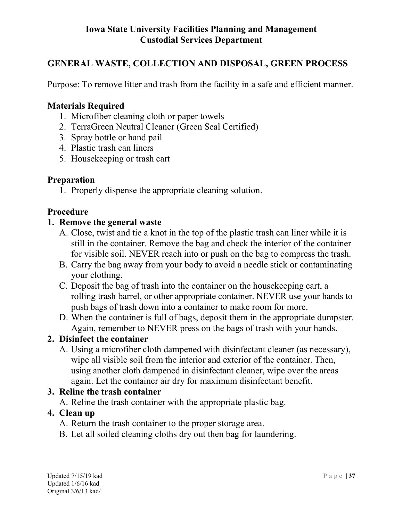# GENERAL WASTE, COLLECTION AND DISPOSAL, GREEN PROCESS

Purpose: To remove litter and trash from the facility in a safe and efficient manner.

# Materials Required

- 1. Microfiber cleaning cloth or paper towels
- 2. TerraGreen Neutral Cleaner (Green Seal Certified)
- 3. Spray bottle or hand pail
- 4. Plastic trash can liners
- 5. Housekeeping or trash cart

#### Preparation

1. Properly dispense the appropriate cleaning solution.

# Procedure

#### 1. Remove the general waste

- A. Close, twist and tie a knot in the top of the plastic trash can liner while it is still in the container. Remove the bag and check the interior of the container for visible soil. NEVER reach into or push on the bag to compress the trash.
- B. Carry the bag away from your body to avoid a needle stick or contaminating your clothing.
- C. Deposit the bag of trash into the container on the housekeeping cart, a rolling trash barrel, or other appropriate container. NEVER use your hands to push bags of trash down into a container to make room for more.
- D. When the container is full of bags, deposit them in the appropriate dumpster. Again, remember to NEVER press on the bags of trash with your hands.

# 2. Disinfect the container

A. Using a microfiber cloth dampened with disinfectant cleaner (as necessary), wipe all visible soil from the interior and exterior of the container. Then, using another cloth dampened in disinfectant cleaner, wipe over the areas again. Let the container air dry for maximum disinfectant benefit.

# 3. Reline the trash container

A. Reline the trash container with the appropriate plastic bag.

# 4. Clean up

- A. Return the trash container to the proper storage area.
- B. Let all soiled cleaning cloths dry out then bag for laundering.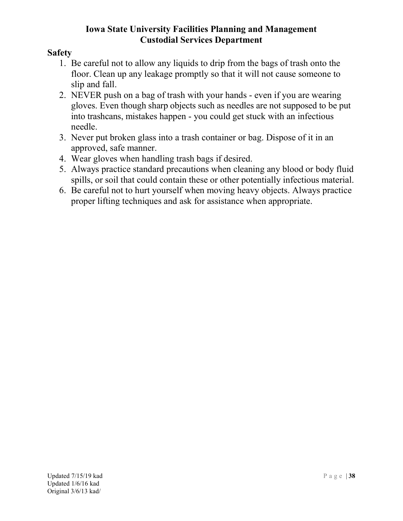- 1. Be careful not to allow any liquids to drip from the bags of trash onto the floor. Clean up any leakage promptly so that it will not cause someone to slip and fall.
- 2. NEVER push on a bag of trash with your hands even if you are wearing gloves. Even though sharp objects such as needles are not supposed to be put into trashcans, mistakes happen - you could get stuck with an infectious needle.
- 3. Never put broken glass into a trash container or bag. Dispose of it in an approved, safe manner.
- 4. Wear gloves when handling trash bags if desired.
- 5. Always practice standard precautions when cleaning any blood or body fluid spills, or soil that could contain these or other potentially infectious material.
- 6. Be careful not to hurt yourself when moving heavy objects. Always practice proper lifting techniques and ask for assistance when appropriate.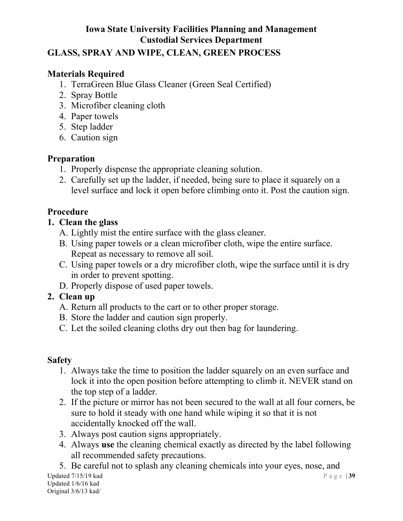## GLASS, SPRAY AND WIPE, CLEAN, GREEN PROCESS

# Materials Required

- 1. TerraGreen Blue Glass Cleaner (Green Seal Certified)
- 2. Spray Bottle
- 3. Microfiber cleaning cloth
- 4. Paper towels
- 5. Step ladder
- 6. Caution sign

# Preparation

- 1. Properly dispense the appropriate cleaning solution.
- 2. Carefully set up the ladder, if needed, being sure to place it squarely on a level surface and lock it open before climbing onto it. Post the caution sign.

# Procedure

# 1. Clean the glass

- A. Lightly mist the entire surface with the glass cleaner.
- B. Using paper towels or a clean microfiber cloth, wipe the entire surface. Repeat as necessary to remove all soil.
- C. Using paper towels or a dry microfiber cloth, wipe the surface until it is dry in order to prevent spotting.
- D. Properly dispose of used paper towels.

# 2. Clean up

- A. Return all products to the cart or to other proper storage.
- B. Store the ladder and caution sign properly.
- C. Let the soiled cleaning cloths dry out then bag for laundering.

# Safety

- 1. Always take the time to position the ladder squarely on an even surface and lock it into the open position before attempting to climb it. NEVER stand on the top step of a ladder.
- 2. If the picture or mirror has not been secured to the wall at all four corners, be sure to hold it steady with one hand while wiping it so that it is not accidentally knocked off the wall.
- 3. Always post caution signs appropriately.
- 4. Always use the cleaning chemical exactly as directed by the label following all recommended safety precautions.

Updated 7/15/19 kad  $P$  a g e | 39 Updated 1/6/16 kad Original 3/6/13 kad/ 5. Be careful not to splash any cleaning chemicals into your eyes, nose, and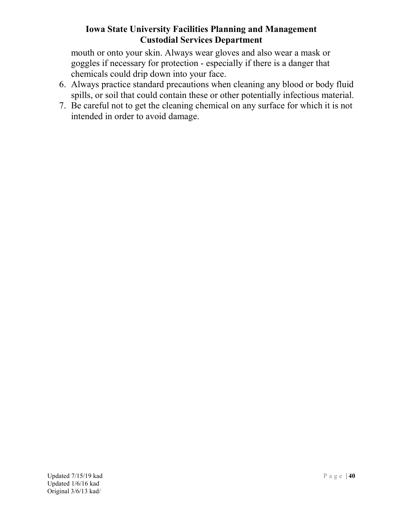mouth or onto your skin. Always wear gloves and also wear a mask or goggles if necessary for protection - especially if there is a danger that chemicals could drip down into your face.

- 6. Always practice standard precautions when cleaning any blood or body fluid spills, or soil that could contain these or other potentially infectious material.
- 7. Be careful not to get the cleaning chemical on any surface for which it is not intended in order to avoid damage.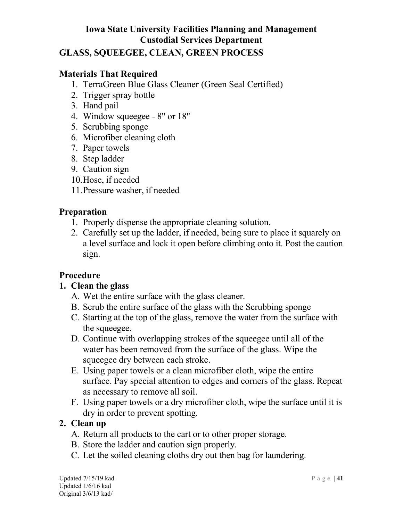# GLASS, SQUEEGEE, CLEAN, GREEN PROCESS

### Materials That Required

- 1. TerraGreen Blue Glass Cleaner (Green Seal Certified)
- 2. Trigger spray bottle
- 3. Hand pail
- 4. Window squeegee 8" or 18"
- 5. Scrubbing sponge
- 6. Microfiber cleaning cloth
- 7. Paper towels
- 8. Step ladder
- 9. Caution sign
- 10.Hose, if needed
- 11.Pressure washer, if needed

### Preparation

- 1. Properly dispense the appropriate cleaning solution.
- 2. Carefully set up the ladder, if needed, being sure to place it squarely on a level surface and lock it open before climbing onto it. Post the caution sign.

# Procedure

#### 1. Clean the glass

- A. Wet the entire surface with the glass cleaner.
- B. Scrub the entire surface of the glass with the Scrubbing sponge
- C. Starting at the top of the glass, remove the water from the surface with the squeegee.
- D. Continue with overlapping strokes of the squeegee until all of the water has been removed from the surface of the glass. Wipe the squeegee dry between each stroke.
- E. Using paper towels or a clean microfiber cloth, wipe the entire surface. Pay special attention to edges and corners of the glass. Repeat as necessary to remove all soil.
- F. Using paper towels or a dry microfiber cloth, wipe the surface until it is dry in order to prevent spotting.

#### 2. Clean up

- A. Return all products to the cart or to other proper storage.
- B. Store the ladder and caution sign properly.
- C. Let the soiled cleaning cloths dry out then bag for laundering.